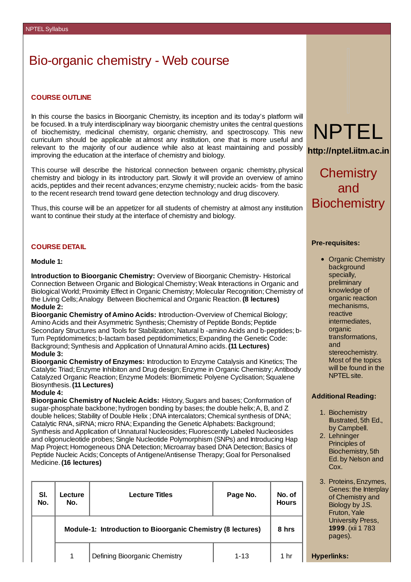# Bio-organic chemistry - Web course

# **COURSE OUTLINE**

In this course the basics in Bioorganic Chemistry, its inception and its today's platform will be focused. In a truly interdisciplinary way bioorganic chemistry unites the central questions of biochemistry, medicinal chemistry, organic chemistry, and spectroscopy. This new curriculum should be applicable at almost any institution, one that is more useful and relevant to the majority of our audience while also at least maintaining and possibly improving the education at the interface of chemistry and biology.

This course will describe the historical connection between organic chemistry, physical chemistry and biology in its introductory part. Slowly it will provide an overview of amino acids, peptides and their recent advances; enzyme chemistry; nucleic acids- from the basic to the recent research trend toward gene detection technology and drug discovery.

Thus, this course will be an appetizer for all students of chemistry at almost any institution want to continue their study at the interface of chemistry and biology.

## **COURSE DETAIL**

#### **Module 1:**

**Introduction to Bioorganic Chemistry:** Overview of Bioorganic Chemistry- Historical Connection Between Organic and Biological Chemistry; Weak Interactions in Organic and Biological World; Proximity Effect in Organic Chemistry; Molecular Recognition; Chemistry of the Living Cells;Analogy Between Biochemical and Organic Reaction.**(8 lectures) Module 2:**

**Bioorganic Chemistry of Amino Acids:** Introduction-Overview of Chemical Biology; Amino Acids and their Asymmetric Synthesis; Chemistry of Peptide Bonds; Peptide Secondary Structures and Tools for Stabilization; Natural b -amino Acids and b-peptides; b-Turn Peptidomimetics; b-lactam based peptidomimetics;Expanding the Genetic Code: Background;Synthesis and Application of UnnaturalAmino acids.**(11 Lectures) Module 3:**

**Bioorganic Chemistry of Enzymes:** Introduction to Enzyme Catalysis and Kinetics; The Catalytic Triad; Enzyme Inhibiton and Drug design; Enzyme in Organic Chemistry; Antibody Catalyzed Organic Reaction; Enzyme Models: Biomimetic Polyene Cyclisation; Squalene Biosynthesis.**(11 Lectures)**

#### **Module 4:**

**Bioorganic Chemistry of Nucleic Acids:** History,Sugars and bases; Conformation of sugar-phosphate backbone; hydrogen bonding by bases; the double helix; A, B, and Z double helices; Stability of Double Helix ; DNA intercalators; Chemical synthesis of DNA; Catalytic RNA, siRNA; micro RNA; Expanding the Genetic Alphabets: Background; Synthesis and Application of Unnatural Nucleosides; Fluorescently Labeled Nucleosides and oligonucleotide probes; Single Nucleotide Polymorphism (SNPs) and Introducing Hap Map Project; Homogeneous DNA Detection; Microarray based DNA Detection; Basics of Peptide Nucleic Acids; Concepts of Antigene/Antisense Therapy; Goal for Personalised Medicine.**(16 lectures)**

| SI.<br>No. | Lecture<br>No.                                              | <b>Lecture Titles</b>         | Page No. | No. of<br><b>Hours</b> |
|------------|-------------------------------------------------------------|-------------------------------|----------|------------------------|
|            | Module-1: Introduction to Bioorganic Chemistry (8 lectures) |                               |          | 8 hrs                  |
|            | 1                                                           | Defining Bioorganic Chemistry | $1 - 13$ | 1 hr                   |



**http://nptel.iitm.ac.in**

**Chemistry** and **Biochemistry** 

### **Pre-requisites:**

• Organic Chemistry background specially, preliminary knowledge of organic reaction mechanisms, reactive intermediates, organic transformations, and stereochemistry. Most of the topics will be found in the NPTELsite.

#### **Additional Reading:**

- 1. Biochemistry Illustrated, 5th Ed., by Campbell.
- 2. Lehninger Principles of Biochemistry, 5th Ed. by Nelson and Cox.
- 3. Proteins,Enzymes, Genes: the Interplay of Chemistry and Biology by J.S. Fruton, Yale University Press, **1999**.(xii 1 783 pages).

**Hyperlinks:**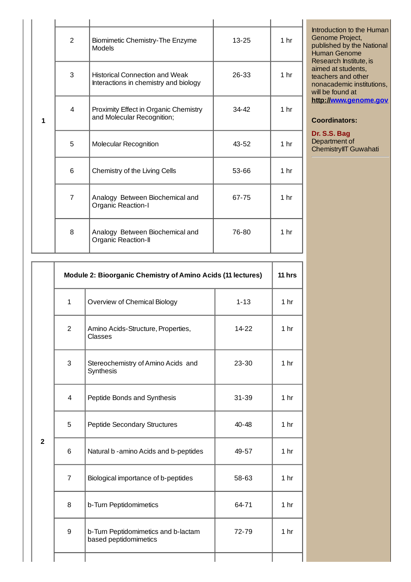| 1 | $\overline{2}$ | Biomimetic Chemistry-The Enzyme<br><b>Models</b>                               | 13-25     | 1 <sub>hr</sub> |
|---|----------------|--------------------------------------------------------------------------------|-----------|-----------------|
|   | 3              | <b>Historical Connection and Weak</b><br>Interactions in chemistry and biology | 26-33     | 1 <sub>hr</sub> |
|   | $\overline{4}$ | Proximity Effect in Organic Chemistry<br>and Molecular Recognition;            | $34 - 42$ | 1 <sub>hr</sub> |
|   | 5              | <b>Molecular Recognition</b>                                                   | $43 - 52$ | 1 <sub>hr</sub> |
|   | 6              | Chemistry of the Living Cells                                                  | 53-66     | 1 <sub>hr</sub> |
|   | $\overline{7}$ | Analogy Between Biochemical and<br><b>Organic Reaction-I</b>                   | 67-75     | 1 <sub>hr</sub> |
|   | 8              | Analogy Between Biochemical and<br>Organic Reaction-II                         | 76-80     | 1 <sub>hr</sub> |

Introduction to the Human Genome Project, published by the National Human Genome Research Institute, is aimed at students, teachers and other nonacademic institutions, will be found at **http:/[/www.genome.gov](http://www.genome.gov)**

# **Coordinators:**

**Dr. S.S. Bag** Department of ChemistryIIT Guwahati

|                | Module 2: Bioorganic Chemistry of Amino Acids (11 lectures) |                                                              |           | $11$ hrs        |
|----------------|-------------------------------------------------------------|--------------------------------------------------------------|-----------|-----------------|
|                | $\mathbf{1}$                                                | Overview of Chemical Biology                                 | $1 - 13$  | 1 <sub>hr</sub> |
| $\overline{2}$ | $\overline{2}$                                              | Amino Acids-Structure, Properties,<br><b>Classes</b>         | 14-22     | 1 <sub>hr</sub> |
|                | 3                                                           | Stereochemistry of Amino Acids and<br>Synthesis              | $23 - 30$ | 1 <sub>hr</sub> |
|                | $\overline{4}$                                              | Peptide Bonds and Synthesis                                  | 31-39     | 1 <sub>hr</sub> |
|                | 5                                                           | <b>Peptide Secondary Structures</b>                          | 40-48     | 1 <sub>hr</sub> |
|                | 6                                                           | Natural b - amino Acids and b-peptides                       | 49-57     | 1 <sub>hr</sub> |
|                | $\overline{7}$                                              | Biological importance of b-peptides                          | 58-63     | 1 <sub>hr</sub> |
|                | 8                                                           | b-Turn Peptidomimetics                                       | 64-71     | 1 <sub>hr</sub> |
|                | 9                                                           | b-Turn Peptidomimetics and b-lactam<br>based peptidomimetics | 72-79     | 1 <sub>hr</sub> |
|                |                                                             |                                                              |           |                 |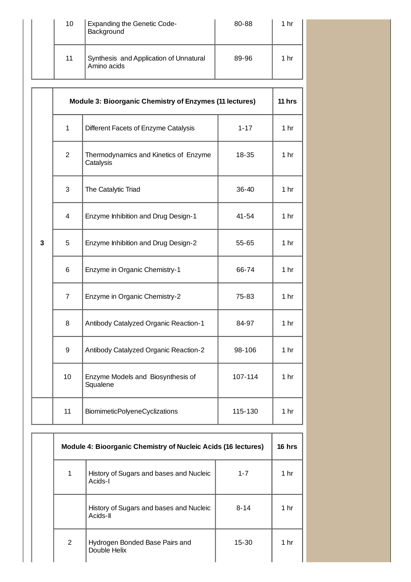|  | 10 | <b>Expanding the Genetic Code-</b><br>Background      | 80-88 | 1 hr |
|--|----|-------------------------------------------------------|-------|------|
|  | 11 | Synthesis and Application of Unnatural<br>Amino acids | 89-96 | 1 hr |

|   | Module 3: Bioorganic Chemistry of Enzymes (11 lectures) |                                                    | $11$ hrs |                 |
|---|---------------------------------------------------------|----------------------------------------------------|----------|-----------------|
|   | $\mathbf{1}$                                            | Different Facets of Enzyme Catalysis               | $1 - 17$ | 1 <sub>hr</sub> |
|   | $\overline{c}$                                          | Thermodynamics and Kinetics of Enzyme<br>Catalysis | 18-35    | 1 <sub>hr</sub> |
|   | 3                                                       | The Catalytic Triad                                | 36-40    | 1 <sub>hr</sub> |
|   | 4                                                       | Enzyme Inhibition and Drug Design-1                | 41-54    | 1 <sub>hr</sub> |
| 3 | 5                                                       | Enzyme Inhibition and Drug Design-2                | 55-65    | 1 <sub>hr</sub> |
|   | 6                                                       | Enzyme in Organic Chemistry-1                      | 66-74    | 1 <sub>hr</sub> |
|   | $\overline{7}$                                          | Enzyme in Organic Chemistry-2                      | 75-83    | 1 <sub>hr</sub> |
|   | 8                                                       | Antibody Catalyzed Organic Reaction-1              | 84-97    | 1 <sub>hr</sub> |
|   | 9                                                       | Antibody Catalyzed Organic Reaction-2              | 98-106   | 1 <sub>hr</sub> |
|   | 10                                                      | Enzyme Models and Biosynthesis of<br>Squalene      | 107-114  | 1 <sub>hr</sub> |
|   | 11                                                      | <b>BiomimeticPolyeneCyclizations</b>               | 115-130  | 1 <sub>hr</sub> |
|   |                                                         |                                                    |          |                 |

| <b>Module 4: Bioorganic Chemistry of Nucleic Acids (16 lectures)</b> |                                                     |          |                 |
|----------------------------------------------------------------------|-----------------------------------------------------|----------|-----------------|
| $\mathbf{1}$                                                         | History of Sugars and bases and Nucleic<br>Acids-I  | $1 - 7$  | 1 hr            |
|                                                                      | History of Sugars and bases and Nucleic<br>Acids-II | $8 - 14$ | 1 <sub>hr</sub> |
| $\overline{2}$                                                       | Hydrogen Bonded Base Pairs and<br>Double Helix      | 15-30    | 1 hr            |